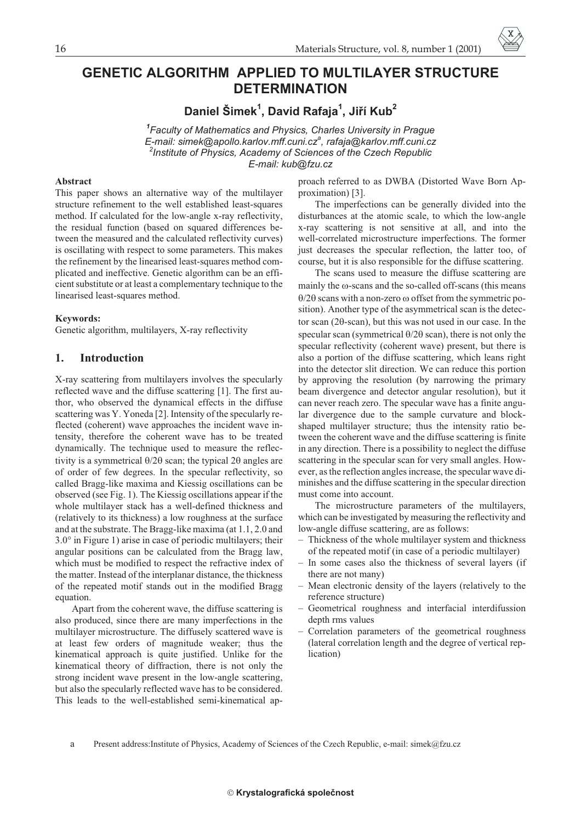# **GENETIC ALGORITHM APPLIED TO MULTILAYER STRUCTURE DETERMINATION**

**Daniel Šimek<sup>1</sup> , David Rafaja<sup>1</sup> , Jiøí Kub<sup>2</sup>**

*1 Faculty of Mathematics and Physics, Charles University in Prague E-mail: simek@apollo.karlov.mff.cuni.cz<sup>a</sup> , rafaja@karlov.mff.cuni.cz 2 Institute of Physics, Academy of Sciences of the Czech Republic E-mail: kub@fzu.cz*

#### **Abstract**

This paper shows an alternative way of the multilayer structure refinement to the well established least-squares method. If calculated for the low-angle x-ray reflectivity, the residual function (based on squared differences between the measured and the calculated reflectivity curves) is oscillating with respect to some parameters. This makes the refinement by the linearised least-squares method complicated and ineffective. Genetic algorithm can be an efficient substitute or at least a complementary technique to the linearised least-squares method.

#### **Keywords:**

Genetic algorithm, multilayers, X-ray reflectivity

# **1. Introduction**

X-ray scattering from multilayers involves the specularly reflected wave and the diffuse scattering [1]. The first author, who observed the dynamical effects in the diffuse scattering was Y. Yoneda [2]. Intensity of the specularly reflected (coherent) wave approaches the incident wave intensity, therefore the coherent wave has to be treated dynamically. The technique used to measure the reflectivity is a symmetrical  $\theta$ /2 $\theta$  scan; the typical 2 $\theta$  angles are of order of few degrees. In the specular reflectivity, so called Bragg-like maxima and Kiessig oscillations can be observed (see Fig. 1). The Kiessig oscillations appear if the whole multilayer stack has a well-defined thickness and (relatively to its thickness) a low roughness at the surface and at the substrate. The Bragg-like maxima (at 1.1, 2.0 and 3.0° in Figure 1) arise in case of periodic multilayers; their angular positions can be calculated from the Bragg law, which must be modified to respect the refractive index of the matter. Instead of the interplanar distance, the thickness of the repeated motif stands out in the modified Bragg equation.

Apart from the coherent wave, the diffuse scattering is also produced, since there are many imperfections in the multilayer microstructure. The diffusely scattered wave is at least few orders of magnitude weaker; thus the kinematical approach is quite justified. Unlike for the kinematical theory of diffraction, there is not only the strong incident wave present in the low-angle scattering, but also the specularly reflected wave has to be considered. This leads to the well-established semi-kinematical approach referred to as DWBA (Distorted Wave Born Approximation) [3].

The imperfections can be generally divided into the disturbances at the atomic scale, to which the low-angle x-ray scattering is not sensitive at all, and into the well-correlated microstructure imperfections. The former just decreases the specular reflection, the latter too, of course, but it is also responsible for the diffuse scattering.

The scans used to measure the diffuse scattering are mainly the  $\omega$ -scans and the so-called off-scans (this means  $\theta$ /2 $\theta$  scans with a non-zero  $\omega$  offset from the symmetric position). Another type of the asymmetrical scan is the detector scan  $(2\theta$ -scan), but this was not used in our case. In the specular scan (symmetrical  $\theta$ /2 $\theta$  scan), there is not only the specular reflectivity (coherent wave) present, but there is also a portion of the diffuse scattering, which leans right into the detector slit direction. We can reduce this portion by approving the resolution (by narrowing the primary beam divergence and detector angular resolution), but it can never reach zero. The specular wave has a finite angular divergence due to the sample curvature and blockshaped multilayer structure; thus the intensity ratio between the coherent wave and the diffuse scattering is finite in any direction. There is a possibility to neglect the diffuse scattering in the specular scan for very small angles. However, as the reflection angles increase, the specular wave diminishes and the diffuse scattering in the specular direction must come into account.

The microstructure parameters of the multilayers, which can be investigated by measuring the reflectivity and low-angle diffuse scattering, are as follows:

- Thickness of the whole multilayer system and thickness of the repeated motif (in case of a periodic multilayer)
- In some cases also the thickness of several layers (if there are not many)
- Mean electronic density of the layers (relatively to the reference structure)
- Geometrical roughness and interfacial interdifussion depth rms values
- Correlation parameters of the geometrical roughness (lateral correlation length and the degree of vertical replication)

a Present address:Institute of Physics, Academy of Sciences of the Czech Republic, e-mail: simek@fzu.cz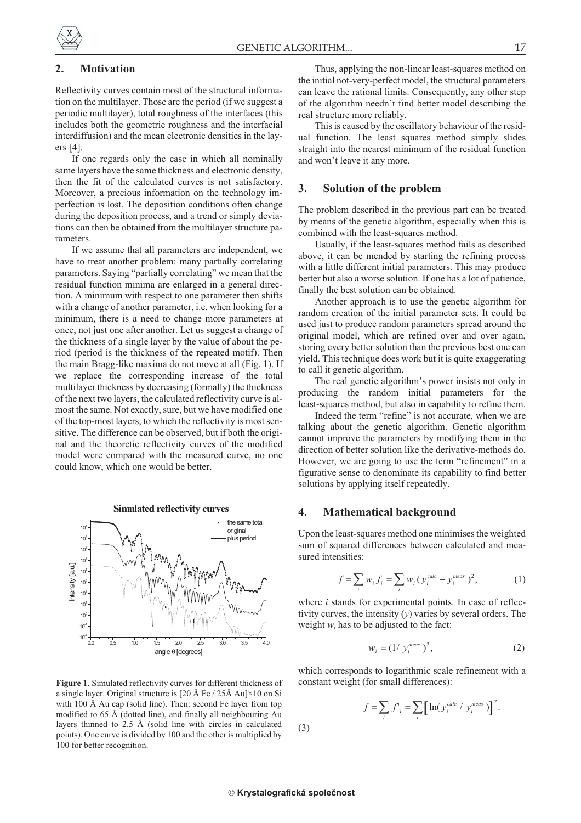# **2. Motivation**

Reflectivity curves contain most of the structural information on the multilayer. Those are the period (if we suggest a periodic multilayer), total roughness of the interfaces (this includes both the geometric roughness and the interfacial interdiffusion) and the mean electronic densities in the layers [4].

If one regards only the case in which all nominally same layers have the same thickness and electronic density, then the fit of the calculated curves is not satisfactory. Moreover, a precious information on the technology imperfection is lost. The deposition conditions often change during the deposition process, and a trend or simply deviations can then be obtained from the multilayer structure parameters.

If we assume that all parameters are independent, we have to treat another problem: many partially correlating parameters. Saying "partially correlating" we mean that the residual function minima are enlarged in a general direction. A minimum with respect to one parameter then shifts with a change of another parameter, i.e. when looking for a minimum, there is a need to change more parameters at once, not just one after another. Let us suggest a change of the thickness of a single layer by the value of about the period (period is the thickness of the repeated motif). Then the main Bragg-like maxima do not move at all (Fig. 1). If we replace the corresponding increase of the total multilayer thickness by decreasing (formally) the thickness of the next two layers, the calculated reflectivity curve is almost the same. Not exactly, sure, but we have modified one of the top-most layers, to which the reflectivity is most sensitive. The difference can be observed, but if both the original and the theoretic reflectivity curves of the modified model were compared with the measured curve, no one could know, which one would be better.



**Figure 1**. Simulated reflectivity curves for different thickness of a single layer. Original structure is  $[20 \text{ Å} \text{Fe} / 25 \text{Å} \text{ Au}] \times 10 \text{ on Si}$ with 100 Å Au cap (solid line). Then: second Fe layer from top modified to 65 Å (dotted line), and finally all neighbouring Au layers thinned to 2.5 Å (solid line with circles in calculated points). One curve is divided by 100 and the other is multiplied by 100 for better recognition.

Thus, applying the non-linear least-squares method on the initial not-very-perfect model, the structural parameters can leave the rational limits. Consequently, any other step of the algorithm needn't find better model describing the real structure more reliably.

This is caused by the oscillatory behaviour of the residual function. The least squares method simply slides straight into the nearest minimum of the residual function and won't leave it any more.

#### **3. Solution of the problem**

The problem described in the previous part can be treated by means of the genetic algorithm, especially when this is combined with the least-squares method.

Usually, if the least-squares method fails as described above, it can be mended by starting the refining process with a little different initial parameters. This may produce better but also a worse solution. If one has a lot of patience, finally the best solution can be obtained.

Another approach is to use the genetic algorithm for random creation of the initial parameter sets. It could be used just to produce random parameters spread around the original model, which are refined over and over again, storing every better solution than the previous best one can yield. This technique does work but it is quite exaggerating to call it genetic algorithm.

The real genetic algorithm's power insists not only in producing the random initial parameters for the least-squares method, but also in capability to refine them.

Indeed the term "refine" is not accurate, when we are talking about the genetic algorithm. Genetic algorithm cannot improve the parameters by modifying them in the direction of better solution like the derivative-methods do. However, we are going to use the term "refinement" in a figurative sense to denominate its capability to find better solutions by applying itself repeatedly.

# **4. Mathematical background**

Upon the least-squares method one minimises the weighted sum of squared differences between calculated and measured intensities:

$$
f = \sum_{i} w_{i} f_{i} = \sum_{i} w_{i} (y_{i}^{calc} - y_{i}^{meas})^{2},
$$
 (1)

where *i* stands for experimental points. In case of reflectivity curves, the intensity (*y*) varies by several orders. The weight  $w_i$  has to be adjusted to the fact:

$$
w_i = (1/\ y_i^{\text{meas}})^2,\tag{2}
$$

which corresponds to logarithmic scale refinement with a constant weight (for small differences):

$$
f = \sum_{i} f'_{i} = \sum_{i} \left[ \ln(y_{i}^{calc} / y_{i}^{meas}) \right]^{2}.
$$

(3)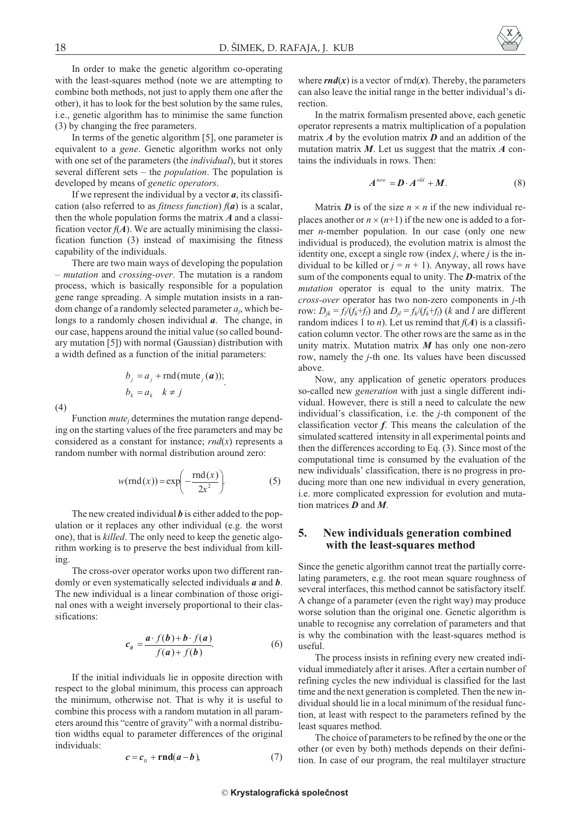In order to make the genetic algorithm co-operating with the least-squares method (note we are attempting to combine both methods, not just to apply them one after the other), it has to look for the best solution by the same rules, i.e., genetic algorithm has to minimise the same function (3) by changing the free parameters.

In terms of the genetic algorithm [5], one parameter is equivalent to a *gene*. Genetic algorithm works not only with one set of the parameters (the *individual*), but it stores several different sets – the *population*. The population is developed by means of *genetic operators*.

If we represent the individual by a vector *a*, its classification (also referred to as *fitness function*) *f*(*a*) is a scalar, then the whole population forms the matrix *A* and a classification vector  $f(A)$ . We are actually minimising the classification function (3) instead of maximising the fitness capability of the individuals.

There are two main ways of developing the population – *mutation* and *crossing-over*. The mutation is a random process, which is basically responsible for a population gene range spreading. A simple mutation insists in a random change of a randomly selected parameter *aj*, which belongs to a randomly chosen individual *a*. The change, in our case, happens around the initial value (so called boundary mutation [5]) with normal (Gaussian) distribution with a width defined as a function of the initial parameters:

$$
b_j = a_j + \text{rnd}(\text{mute}_j(a));
$$
  

$$
b_k = a_k \quad k \neq j
$$

(4)

Function *mutej* determines the mutation range depending on the starting values of the free parameters and may be considered as a constant for instance; *rnd*(*x*) represents a random number with normal distribution around zero:

$$
w(rnd(x)) = \exp\left(-\frac{rnd(x)}{2x^2}\right)
$$
 (5)

The new created individual *b* is either added to the population or it replaces any other individual (e.g. the worst one), that is *killed*. The only need to keep the genetic algorithm working is to preserve the best individual from killing.

The cross-over operator works upon two different randomly or even systematically selected individuals *a* and *b*. The new individual is a linear combination of those original ones with a weight inversely proportional to their classifications:

$$
c_{\theta} = \frac{a \cdot f(b) + b \cdot f(a)}{f(a) + f(b)}.
$$
 (6)

If the initial individuals lie in opposite direction with respect to the global minimum, this process can approach the minimum, otherwise not. That is why it is useful to combine this process with a random mutation in all parameters around this "centre of gravity" with a normal distribution widths equal to parameter differences of the original individuals:

$$
c = c_0 + \mathbf{rnd}(a - b), \tag{7}
$$

where  $rnd(x)$  is a vector of  $rnd(x)$ . Thereby, the parameters can also leave the initial range in the better individual's direction.

In the matrix formalism presented above, each genetic operator represents a matrix multiplication of a population matrix *A* by the evolution matrix *D* and an addition of the mutation matrix *M*. Let us suggest that the matrix *A* contains the individuals in rows. Then:

$$
A^{new} = D \cdot A^{old} + M. \tag{8}
$$

Matrix *D* is of the size  $n \times n$  if the new individual replaces another or  $n \times (n+1)$  if the new one is added to a former *n*-member population. In our case (only one new individual is produced), the evolution matrix is almost the identity one, except a single row (index *j*, where *j* is the individual to be killed or  $j = n + 1$ ). Anyway, all rows have sum of the components equal to unity. The *D*-matrix of the *mutation* operator is equal to the unity matrix. The *cross-over* operator has two non-zero components in *j*-th row:  $D_{ik} = f_i/(f_k+f_i)$  and  $D_{il} = f_k/(f_k+f_i)$  (*k* and *l* are different random indices 1 to *n*). Let us remind that  $f(A)$  is a classification column vector. The other rows are the same as in the unity matrix. Mutation matrix *M* has only one non-zero row, namely the *j*-th one. Its values have been discussed above.

Now, any application of genetic operators produces so-called new *generation* with just a single different individual. However, there is still a need to calculate the new individual's classification, i.e. the *j*-th component of the classification vector *f*. This means the calculation of the simulated scattered intensity in all experimental points and then the differences according to Eq. (3). Since most of the computational time is consumed by the evaluation of the new individuals' classification, there is no progress in producing more than one new individual in every generation, i.e. more complicated expression for evolution and mutation matrices *D* and *M*.

## **5. New individuals generation combined with the least-squares method**

Since the genetic algorithm cannot treat the partially correlating parameters, e.g. the root mean square roughness of several interfaces, this method cannot be satisfactory itself. A change of a parameter (even the right way) may produce worse solution than the original one. Genetic algorithm is unable to recognise any correlation of parameters and that is why the combination with the least-squares method is useful.

The process insists in refining every new created individual immediately after it arises. After a certain number of refining cycles the new individual is classified for the last time and the next generation is completed. Then the new individual should lie in a local minimum of the residual function, at least with respect to the parameters refined by the least squares method.

The choice of parameters to be refined by the one or the other (or even by both) methods depends on their definition. In case of our program, the real multilayer structure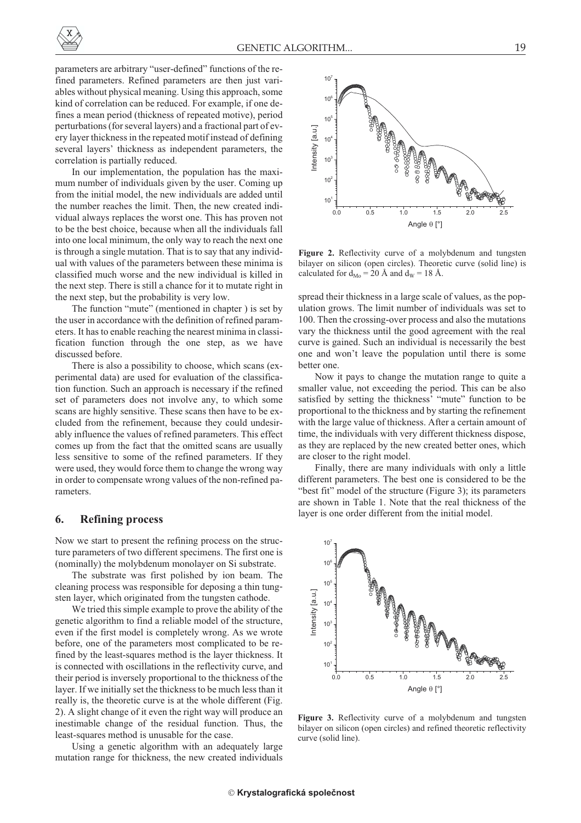parameters are arbitrary "user-defined" functions of the refined parameters. Refined parameters are then just variables without physical meaning. Using this approach, some kind of correlation can be reduced. For example, if one defines a mean period (thickness of repeated motive), period perturbations (for several layers) and a fractional part of every layer thickness in the repeated motif instead of defining several layers' thickness as independent parameters, the correlation is partially reduced.

In our implementation, the population has the maximum number of individuals given by the user. Coming up from the initial model, the new individuals are added until the number reaches the limit. Then, the new created individual always replaces the worst one. This has proven not to be the best choice, because when all the individuals fall into one local minimum, the only way to reach the next one is through a single mutation. That is to say that any individual with values of the parameters between these minima is classified much worse and the new individual is killed in the next step. There is still a chance for it to mutate right in the next step, but the probability is very low.

The function "mute" (mentioned in chapter ) is set by the user in accordance with the definition of refined parameters. It has to enable reaching the nearest minima in classification function through the one step, as we have discussed before.

There is also a possibility to choose, which scans (experimental data) are used for evaluation of the classification function. Such an approach is necessary if the refined set of parameters does not involve any, to which some scans are highly sensitive. These scans then have to be excluded from the refinement, because they could undesirably influence the values of refined parameters. This effect comes up from the fact that the omitted scans are usually less sensitive to some of the refined parameters. If they were used, they would force them to change the wrong way in order to compensate wrong values of the non-refined parameters.

#### **6. Refining process**

Now we start to present the refining process on the structure parameters of two different specimens. The first one is (nominally) the molybdenum monolayer on Si substrate.

The substrate was first polished by ion beam. The cleaning process was responsible for deposing a thin tungsten layer, which originated from the tungsten cathode.

We tried this simple example to prove the ability of the genetic algorithm to find a reliable model of the structure, even if the first model is completely wrong. As we wrote before, one of the parameters most complicated to be refined by the least-squares method is the layer thickness. It is connected with oscillations in the reflectivity curve, and their period is inversely proportional to the thickness of the layer. If we initially set the thickness to be much less than it really is, the theoretic curve is at the whole different (Fig. 2). A slight change of it even the right way will produce an inestimable change of the residual function. Thus, the least-squares method is unusable for the case.

Using a genetic algorithm with an adequately large mutation range for thickness, the new created individuals



**Figure 2.** Reflectivity curve of a molybdenum and tungsten bilayer on silicon (open circles). Theoretic curve (solid line) is calculated for  $d_{\text{Mo}} = 20$  Å and  $d_{\text{W}} = 18$  Å.

spread their thickness in a large scale of values, as the population grows. The limit number of individuals was set to 100. Then the crossing-over process and also the mutations vary the thickness until the good agreement with the real curve is gained. Such an individual is necessarily the best one and won't leave the population until there is some better one.

Now it pays to change the mutation range to quite a smaller value, not exceeding the period. This can be also satisfied by setting the thickness' "mute" function to be proportional to the thickness and by starting the refinement with the large value of thickness. After a certain amount of time, the individuals with very different thickness dispose, as they are replaced by the new created better ones, which are closer to the right model.

Finally, there are many individuals with only a little different parameters. The best one is considered to be the "best fit" model of the structure (Figure 3); its parameters are shown in Table 1. Note that the real thickness of the layer is one order different from the initial model.



**Figure 3.** Reflectivity curve of a molybdenum and tungsten bilayer on silicon (open circles) and refined theoretic reflectivity curve (solid line).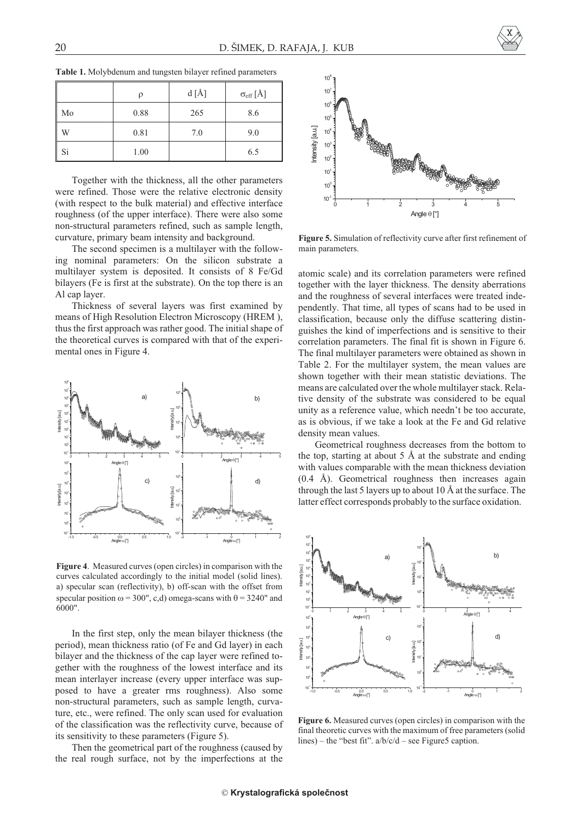|    |      | d [A] | $\sigma_{\rm eff}[\AA]$ |
|----|------|-------|-------------------------|
| Mo | 0.88 | 265   | 8.6                     |
| W  | 0.81 | 7.0   | 9.0                     |
| Si | 1.00 |       | 6.5                     |

**Table 1.** Molybdenum and tungsten bilayer refined parameters

Together with the thickness, all the other parameters were refined. Those were the relative electronic density (with respect to the bulk material) and effective interface roughness (of the upper interface). There were also some non-structural parameters refined, such as sample length, curvature, primary beam intensity and background.

The second specimen is a multilayer with the following nominal parameters: On the silicon substrate a multilayer system is deposited. It consists of 8 Fe/Gd bilayers (Fe is first at the substrate). On the top there is an Al cap layer.

Thickness of several layers was first examined by means of High Resolution Electron Microscopy (HREM ), thus the first approach was rather good. The initial shape of the theoretical curves is compared with that of the experimental ones in Figure 4.



**Figure 4**. Measured curves (open circles) in comparison with the curves calculated accordingly to the initial model (solid lines). a) specular scan (reflectivity), b) off-scan with the offset from specular position  $\omega = 300$ ", c,d) omega-scans with  $\theta = 3240$ " and 6000".

In the first step, only the mean bilayer thickness (the period), mean thickness ratio (of Fe and Gd layer) in each bilayer and the thickness of the cap layer were refined together with the roughness of the lowest interface and its mean interlayer increase (every upper interface was supposed to have a greater rms roughness). Also some non-structural parameters, such as sample length, curvature, etc., were refined. The only scan used for evaluation of the classification was the reflectivity curve, because of its sensitivity to these parameters (Figure 5).

Then the geometrical part of the roughness (caused by the real rough surface, not by the imperfections at the



**Figure 5.** Simulation of reflectivity curve after first refinement of main parameters.

atomic scale) and its correlation parameters were refined together with the layer thickness. The density aberrations and the roughness of several interfaces were treated independently. That time, all types of scans had to be used in classification, because only the diffuse scattering distinguishes the kind of imperfections and is sensitive to their correlation parameters. The final fit is shown in Figure 6. The final multilayer parameters were obtained as shown in Table 2. For the multilayer system, the mean values are shown together with their mean statistic deviations. The means are calculated over the whole multilayer stack. Relative density of the substrate was considered to be equal unity as a reference value, which needn't be too accurate, as is obvious, if we take a look at the Fe and Gd relative density mean values.

Geometrical roughness decreases from the bottom to the top, starting at about  $5 \text{ Å}$  at the substrate and ending with values comparable with the mean thickness deviation (0.4 Å). Geometrical roughness then increases again through the last 5 layers up to about 10 Å at the surface. The latter effect corresponds probably to the surface oxidation.



**Figure 6.** Measured curves (open circles) in comparison with the final theoretic curves with the maximum of free parameters (solid lines) – the "best fit".  $a/b/c/d$  – see Figure5 caption.